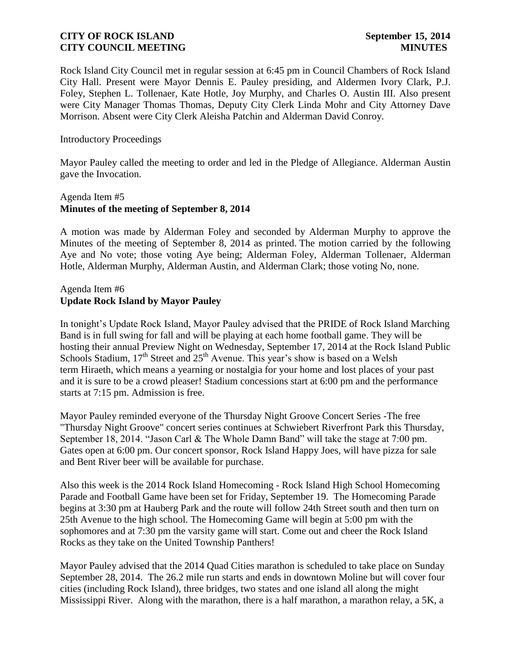Rock Island City Council met in regular session at 6:45 pm in Council Chambers of Rock Island City Hall. Present were Mayor Dennis E. Pauley presiding, and Aldermen Ivory Clark, P.J. Foley, Stephen L. Tollenaer, Kate Hotle, Joy Murphy, and Charles O. Austin III. Also present were City Manager Thomas Thomas, Deputy City Clerk Linda Mohr and City Attorney Dave Morrison. Absent were City Clerk Aleisha Patchin and Alderman David Conroy.

Introductory Proceedings

Mayor Pauley called the meeting to order and led in the Pledge of Allegiance. Alderman Austin gave the Invocation.

# Agenda Item #5 **Minutes of the meeting of September 8, 2014**

A motion was made by Alderman Foley and seconded by Alderman Murphy to approve the Minutes of the meeting of September 8, 2014 as printed. The motion carried by the following Aye and No vote; those voting Aye being; Alderman Foley, Alderman Tollenaer, Alderman Hotle, Alderman Murphy, Alderman Austin, and Alderman Clark; those voting No, none.

# Agenda Item #6 **Update Rock Island by Mayor Pauley**

In tonight's Update Rock Island, Mayor Pauley advised that the PRIDE of Rock Island Marching Band is in full swing for fall and will be playing at each home football game. They will be hosting their annual Preview Night on Wednesday, September 17, 2014 at the Rock Island Public Schools Stadium,  $17<sup>th</sup>$  Street and  $25<sup>th</sup>$  Avenue. This year's show is based on a Welsh term Hiraeth, which means a yearning or nostalgia for your home and lost places of your past and it is sure to be a crowd pleaser! Stadium concessions start at 6:00 pm and the performance starts at 7:15 pm. Admission is free.

Mayor Pauley reminded everyone of the Thursday Night Groove Concert Series -The free "Thursday Night Groove" concert series continues at Schwiebert Riverfront Park this Thursday, September 18, 2014. "Jason Carl & The Whole Damn Band" will take the stage at 7:00 pm. Gates open at 6:00 pm. Our concert sponsor, Rock Island Happy Joes, will have pizza for sale and Bent River beer will be available for purchase.

Also this week is the 2014 Rock Island Homecoming - Rock Island High School Homecoming Parade and Football Game have been set for Friday, September 19. The Homecoming Parade begins at 3:30 pm at Hauberg Park and the route will follow 24th Street south and then turn on 25th Avenue to the high school. The Homecoming Game will begin at 5:00 pm with the sophomores and at 7:30 pm the varsity game will start. Come out and cheer the Rock Island Rocks as they take on the United Township Panthers!

Mayor Pauley advised that the 2014 Quad Cities marathon is scheduled to take place on Sunday September 28, 2014. The 26.2 mile run starts and ends in downtown Moline but will cover four cities (including Rock Island), three bridges, two states and one island all along the might Mississippi River. Along with the marathon, there is a half marathon, a marathon relay, a 5K, a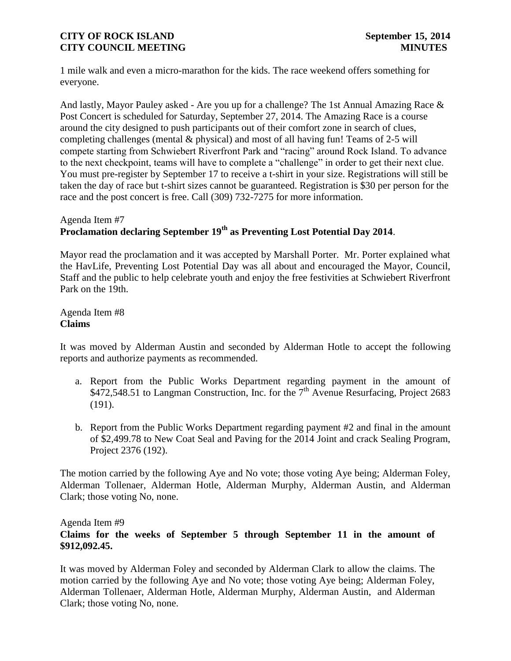1 mile walk and even a micro-marathon for the kids. The race weekend offers something for everyone.

And lastly, Mayor Pauley asked - Are you up for a challenge? The 1st Annual Amazing Race & Post Concert is scheduled for Saturday, September 27, 2014. The Amazing Race is a course around the city designed to push participants out of their comfort zone in search of clues, completing challenges (mental & physical) and most of all having fun! Teams of 2-5 will compete starting from Schwiebert Riverfront Park and "racing" around Rock Island. To advance to the next checkpoint, teams will have to complete a "challenge" in order to get their next clue. You must pre-register by September 17 to receive a t-shirt in your size. Registrations will still be taken the day of race but t-shirt sizes cannot be guaranteed. Registration is \$30 per person for the race and the post concert is free. Call (309) 732-7275 for more information.

# Agenda Item #7 **Proclamation declaring September 19th as Preventing Lost Potential Day 2014**.

Mayor read the proclamation and it was accepted by Marshall Porter. Mr. Porter explained what the HavLife, Preventing Lost Potential Day was all about and encouraged the Mayor, Council, Staff and the public to help celebrate youth and enjoy the free festivities at Schwiebert Riverfront Park on the 19th.

Agenda Item #8 **Claims**

It was moved by Alderman Austin and seconded by Alderman Hotle to accept the following reports and authorize payments as recommended.

- a. [Report from the Public Works Department regarding payment in the amount of](http://www.rigov.org/DocumentCenter/View/7543)   $\overrightarrow{472.548.51}$  to Langman Construction, Inc. for the  $7<sup>th</sup>$  Avenue Resurfacing, Project 2683 [\(191\).](http://www.rigov.org/DocumentCenter/View/7543)
- b. [Report from the Public Works Department regarding payment #2](http://www.rigov.org/DocumentCenter/View/7542) and final in the amount of \$2,499.78 to New Coat Seal and Paving for the 2014 Joint and crack Sealing Program, Project 2376 (192).

The motion carried by the following Aye and No vote; those voting Aye being; Alderman Foley, Alderman Tollenaer, Alderman Hotle, Alderman Murphy, Alderman Austin, and Alderman Clark; those voting No, none.

### Agenda Item #9

# **Claims for the weeks of September 5 [through September 11 in the amount of](http://www.rigov.org/DocumentCenter/View/7528)  [\\$9](http://www.rigov.org/DocumentCenter/View/7528)12,092.45.**

It was moved by Alderman Foley and seconded by Alderman Clark to allow the claims. The motion carried by the following Aye and No vote; those voting Aye being; Alderman Foley, Alderman Tollenaer, Alderman Hotle, Alderman Murphy, Alderman Austin, and Alderman Clark; those voting No, none.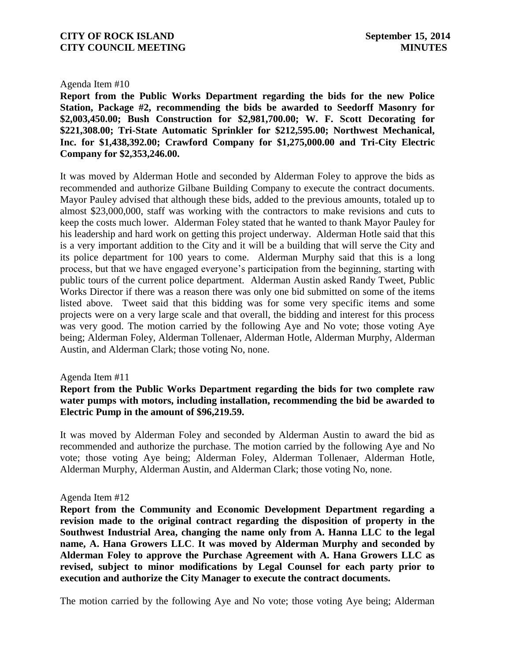### Agenda Item #10

**[Report from the Public Works Department regarding the bids for the new Police](http://www.rigov.org/DocumentCenter/View/7564)  [Station, Package #2, recommending the bids be awarded to Seedorff Masonry for](http://www.rigov.org/DocumentCenter/View/7564)  [\\$2,003,450.00; Bush Construction for \\$2,981,700.00; W. F. Scott Decorating for](http://www.rigov.org/DocumentCenter/View/7564)  [\\$221,308.00; Tri-State Automatic Sprinkler for \\$212,595.00; Northwest Mechanical,](http://www.rigov.org/DocumentCenter/View/7564)  [Inc. for \\$1,438,392.00; Crawford Company for \\$1,275,000.00 and Tri-City Electric](http://www.rigov.org/DocumentCenter/View/7564)  [Company for \\$2,353,246.00.](http://www.rigov.org/DocumentCenter/View/7564)** 

It was moved by Alderman Hotle and seconded by Alderman Foley to approve the bids as recommended and authorize Gilbane Building Company to execute the contract documents. Mayor Pauley advised that although these bids, added to the previous amounts, totaled up to almost \$23,000,000, staff was working with the contractors to make revisions and cuts to keep the costs much lower. Alderman Foley stated that he wanted to thank Mayor Pauley for his leadership and hard work on getting this project underway. Alderman Hotle said that this is a very important addition to the City and it will be a building that will serve the City and its police department for 100 years to come. Alderman Murphy said that this is a long process, but that we have engaged everyone's participation from the beginning, starting with public tours of the current police department. Alderman Austin asked Randy Tweet, Public Works Director if there was a reason there was only one bid submitted on some of the items listed above. Tweet said that this bidding was for some very specific items and some projects were on a very large scale and that overall, the bidding and interest for this process was very good. The motion carried by the following Aye and No vote; those voting Aye being; Alderman Foley, Alderman Tollenaer, Alderman Hotle, Alderman Murphy, Alderman Austin, and Alderman Clark; those voting No, none.

#### Agenda Item #11

# **[Report from the Public Works Department regarding the bids for two complete raw](http://www.rigov.org/DocumentCenter/View/7563)  water [pumps with motors, including installation, recommending the bid be awarded to](http://www.rigov.org/DocumentCenter/View/7563)  [Electric Pump in the amount of \\$96,219.59.](http://www.rigov.org/DocumentCenter/View/7563)**

It was moved by Alderman Foley and seconded by Alderman Austin to award the bid as recommended and authorize the purchase. The motion carried by the following Aye and No vote; those voting Aye being; Alderman Foley, Alderman Tollenaer, Alderman Hotle, Alderman Murphy, Alderman Austin, and Alderman Clark; those voting No, none.

#### Agenda Item #12

**[Report from the Community and Economic Development Department regarding a](http://www.rigov.org/DocumentCenter/View/7575)  [revision made to the original contract regarding the disposition of property in the](http://www.rigov.org/DocumentCenter/View/7575)  [Southwest Industrial Area, changing the name only from A. Hanna LLC](http://www.rigov.org/DocumentCenter/View/7575) to the legal [name, A. Hana Growers LLC](http://www.rigov.org/DocumentCenter/View/7575)**. **It was moved by Alderman Murphy and seconded by Alderman Foley to approve the Purchase Agreement with A. Hana Growers LLC as revised, subject to minor modifications by Legal Counsel for each party prior to execution and authorize the City Manager to execute the contract documents.**

The motion carried by the following Aye and No vote; those voting Aye being; Alderman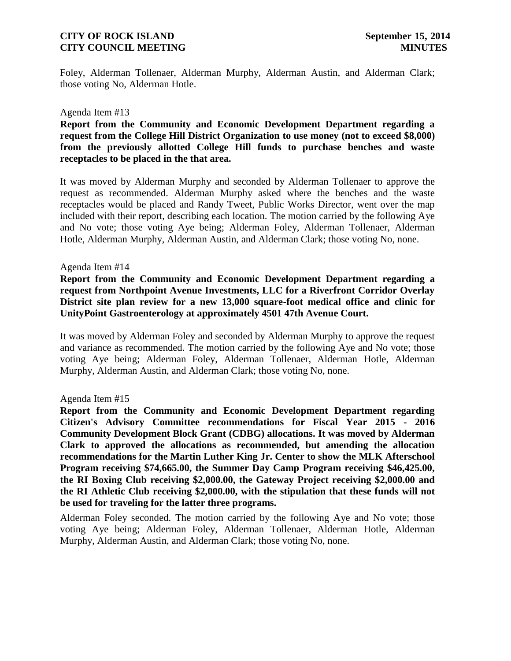Foley, Alderman Tollenaer, Alderman Murphy, Alderman Austin, and Alderman Clark; those voting No, Alderman Hotle.

### Agenda Item #13

**[Report from the Community and Economic Development Department regarding a](http://www.rigov.org/DocumentCenter/View/7572)  [request from the College Hill District Organization to use money \(not to exceed \\$8,000\)](http://www.rigov.org/DocumentCenter/View/7572)  [from the previously allotted College Hill funds to purchase benches and waste](http://www.rigov.org/DocumentCenter/View/7572)  [receptacles to be placed in the that area.](http://www.rigov.org/DocumentCenter/View/7572)** 

It was moved by Alderman Murphy and seconded by Alderman Tollenaer to approve the request as recommended. Alderman Murphy asked where the benches and the waste receptacles would be placed and Randy Tweet, Public Works Director, went over the map included with their report, describing each location. The motion carried by the following Aye and No vote; those voting Aye being; Alderman Foley, Alderman Tollenaer, Alderman Hotle, Alderman Murphy, Alderman Austin, and Alderman Clark; those voting No, none.

#### Agenda Item #14

**[Report from the Community and Economic](http://www.rigov.org/DocumentCenter/View/7566) Development Department regarding a [request from Northpoint Avenue Investments, LLC for a Riverfront Corridor Overlay](http://www.rigov.org/DocumentCenter/View/7566)  [District site plan review for a new 13,000 square-foot medical office and clinic for](http://www.rigov.org/DocumentCenter/View/7566)  [UnityPoint Gastroenterology at approximately 4501 47th Avenue Court.](http://www.rigov.org/DocumentCenter/View/7566)**

It was moved by Alderman Foley and seconded by Alderman Murphy to approve the request and variance as recommended. The motion carried by the following Aye and No vote; those voting Aye being; Alderman Foley, Alderman Tollenaer, Alderman Hotle, Alderman Murphy, Alderman Austin, and Alderman Clark; those voting No, none.

#### Agenda Item #15

**[Report from the Community and Economic Development Department regarding](http://www.rigov.org/DocumentCenter/View/7565)  [Citizen's Advisory Committee recommendations for Fiscal Year 2015 -](http://www.rigov.org/DocumentCenter/View/7565) 2016 [Community Development Block Grant \(CDBG\) allocations.](http://www.rigov.org/DocumentCenter/View/7565) It was moved by Alderman Clark to approved the allocations as recommended, but amending the allocation recommendations for the Martin Luther King Jr. Center to show the MLK Afterschool Program receiving \$74,665.00, the Summer Day Camp Program receiving \$46,425.00, the RI Boxing Club receiving \$2,000.00, the Gateway Project receiving \$2,000.00 and the RI Athletic Club receiving \$2,000.00, with the stipulation that these funds will not be used for traveling for the latter three programs.** 

Alderman Foley seconded. The motion carried by the following Aye and No vote; those voting Aye being; Alderman Foley, Alderman Tollenaer, Alderman Hotle, Alderman Murphy, Alderman Austin, and Alderman Clark; those voting No, none.